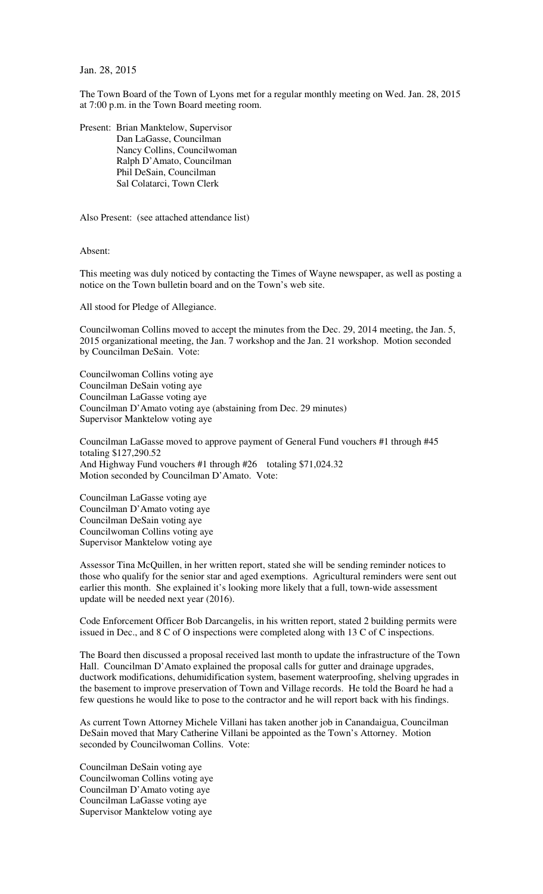Jan. 28, 2015

The Town Board of the Town of Lyons met for a regular monthly meeting on Wed. Jan. 28, 2015 at 7:00 p.m. in the Town Board meeting room.

Present: Brian Manktelow, Supervisor Dan LaGasse, Councilman Nancy Collins, Councilwoman Ralph D'Amato, Councilman Phil DeSain, Councilman Sal Colatarci, Town Clerk

Also Present: (see attached attendance list)

Absent:

This meeting was duly noticed by contacting the Times of Wayne newspaper, as well as posting a notice on the Town bulletin board and on the Town's web site.

All stood for Pledge of Allegiance.

Councilwoman Collins moved to accept the minutes from the Dec. 29, 2014 meeting, the Jan. 5, 2015 organizational meeting, the Jan. 7 workshop and the Jan. 21 workshop. Motion seconded by Councilman DeSain. Vote:

Councilwoman Collins voting aye Councilman DeSain voting aye Councilman LaGasse voting aye Councilman D'Amato voting aye (abstaining from Dec. 29 minutes) Supervisor Manktelow voting aye

Councilman LaGasse moved to approve payment of General Fund vouchers #1 through #45 totaling \$127,290.52 And Highway Fund vouchers #1 through #26 totaling \$71,024.32 Motion seconded by Councilman D'Amato. Vote:

Councilman LaGasse voting aye Councilman D'Amato voting aye Councilman DeSain voting aye Councilwoman Collins voting aye Supervisor Manktelow voting aye

Assessor Tina McQuillen, in her written report, stated she will be sending reminder notices to those who qualify for the senior star and aged exemptions. Agricultural reminders were sent out earlier this month. She explained it's looking more likely that a full, town-wide assessment update will be needed next year (2016).

Code Enforcement Officer Bob Darcangelis, in his written report, stated 2 building permits were issued in Dec., and 8 C of O inspections were completed along with 13 C of C inspections.

The Board then discussed a proposal received last month to update the infrastructure of the Town Hall. Councilman D'Amato explained the proposal calls for gutter and drainage upgrades, ductwork modifications, dehumidification system, basement waterproofing, shelving upgrades in the basement to improve preservation of Town and Village records. He told the Board he had a few questions he would like to pose to the contractor and he will report back with his findings.

As current Town Attorney Michele Villani has taken another job in Canandaigua, Councilman DeSain moved that Mary Catherine Villani be appointed as the Town's Attorney. Motion seconded by Councilwoman Collins. Vote:

Councilman DeSain voting aye Councilwoman Collins voting aye Councilman D'Amato voting aye Councilman LaGasse voting aye Supervisor Manktelow voting aye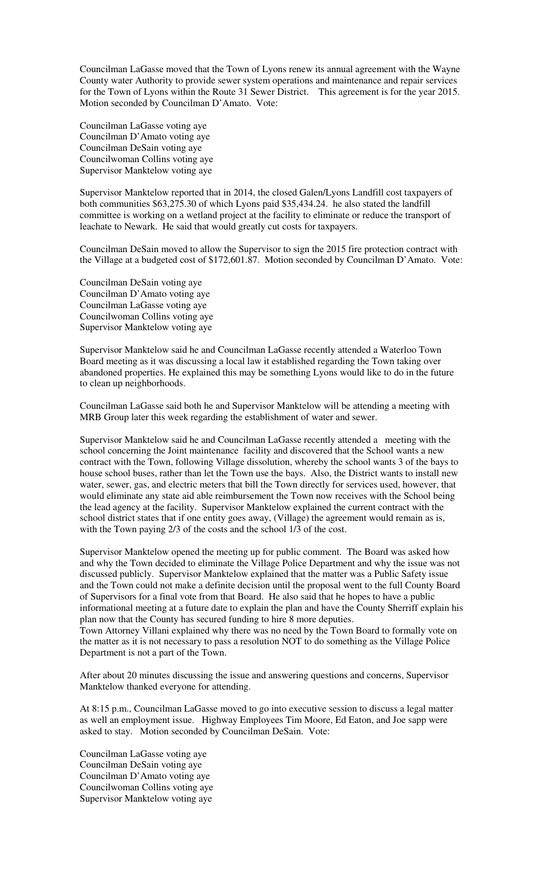Councilman LaGasse moved that the Town of Lyons renew its annual agreement with the Wayne County water Authority to provide sewer system operations and maintenance and repair services for the Town of Lyons within the Route 31 Sewer District. This agreement is for the year 2015. Motion seconded by Councilman D'Amato. Vote:

Councilman LaGasse voting aye Councilman D'Amato voting aye Councilman DeSain voting aye Councilwoman Collins voting aye Supervisor Manktelow voting aye

Supervisor Manktelow reported that in 2014, the closed Galen/Lyons Landfill cost taxpayers of both communities \$63,275.30 of which Lyons paid \$35,434.24. he also stated the landfill committee is working on a wetland project at the facility to eliminate or reduce the transport of leachate to Newark. He said that would greatly cut costs for taxpayers.

Councilman DeSain moved to allow the Supervisor to sign the 2015 fire protection contract with the Village at a budgeted cost of \$172,601.87. Motion seconded by Councilman D'Amato. Vote:

Councilman DeSain voting aye Councilman D'Amato voting aye Councilman LaGasse voting aye Councilwoman Collins voting aye Supervisor Manktelow voting aye

Supervisor Manktelow said he and Councilman LaGasse recently attended a Waterloo Town Board meeting as it was discussing a local law it established regarding the Town taking over abandoned properties. He explained this may be something Lyons would like to do in the future to clean up neighborhoods.

Councilman LaGasse said both he and Supervisor Manktelow will be attending a meeting with MRB Group later this week regarding the establishment of water and sewer.

Supervisor Manktelow said he and Councilman LaGasse recently attended a meeting with the school concerning the Joint maintenance facility and discovered that the School wants a new contract with the Town, following Village dissolution, whereby the school wants 3 of the bays to house school buses, rather than let the Town use the bays. Also, the District wants to install new water, sewer, gas, and electric meters that bill the Town directly for services used, however, that would eliminate any state aid able reimbursement the Town now receives with the School being the lead agency at the facility. Supervisor Manktelow explained the current contract with the school district states that if one entity goes away, (Village) the agreement would remain as is, with the Town paying 2/3 of the costs and the school 1/3 of the cost.

Supervisor Manktelow opened the meeting up for public comment. The Board was asked how and why the Town decided to eliminate the Village Police Department and why the issue was not discussed publicly. Supervisor Manktelow explained that the matter was a Public Safety issue and the Town could not make a definite decision until the proposal went to the full County Board of Supervisors for a final vote from that Board. He also said that he hopes to have a public informational meeting at a future date to explain the plan and have the County Sherriff explain his plan now that the County has secured funding to hire 8 more deputies.

Town Attorney Villani explained why there was no need by the Town Board to formally vote on the matter as it is not necessary to pass a resolution NOT to do something as the Village Police Department is not a part of the Town.

After about 20 minutes discussing the issue and answering questions and concerns, Supervisor Manktelow thanked everyone for attending.

At 8:15 p.m., Councilman LaGasse moved to go into executive session to discuss a legal matter as well an employment issue. Highway Employees Tim Moore, Ed Eaton, and Joe sapp were asked to stay. Motion seconded by Councilman DeSain. Vote:

Councilman LaGasse voting aye Councilman DeSain voting aye Councilman D'Amato voting aye Councilwoman Collins voting aye Supervisor Manktelow voting aye